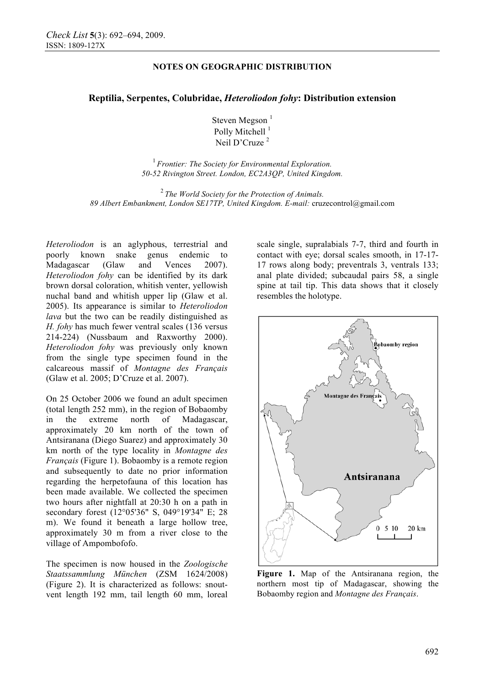# **NOTES ON GEOGRAPHIC DISTRIBUTION**

### **Reptilia, Serpentes, Colubridae,** *Heteroliodon fohy***: Distribution extension**

Steven Megson<sup>1</sup> Polly Mitchell<sup>1</sup> Neil D'Cruze<sup>2</sup>

<sup>1</sup>*Frontier: The Society for Environmental Exploration. 50-52 Rivington Street. London, EC2A3QP, United Kingdom.*

<sup>2</sup> *The World Society for the Protection of Animals. 89 Albert Embankment, London SE17TP, United Kingdom. E-mail:* cruzecontrol@gmail.com

*Heteroliodon* is an aglyphous, terrestrial and poorly known snake genus endemic to Madagascar (Glaw and Vences 2007). *Heteroliodon fohy* can be identified by its dark brown dorsal coloration, whitish venter, yellowish nuchal band and whitish upper lip (Glaw et al. 2005). Its appearance is similar to *Heteroliodon lava* but the two can be readily distinguished as *H. fohy* has much fewer ventral scales (136 versus 214-224) (Nussbaum and Raxworthy 2000). *Heteroliodon fohy* was previously only known from the single type specimen found in the calcareous massif of *Montagne des Français* (Glaw et al. 2005; D'Cruze et al. 2007).

On 25 October 2006 we found an adult specimen (total length 252 mm), in the region of Bobaomby in the extreme north of Madagascar, approximately 20 km north of the town of Antsiranana (Diego Suarez) and approximately 30 km north of the type locality in *Montagne des Français* (Figure 1). Bobaomby is a remote region and subsequently to date no prior information regarding the herpetofauna of this location has been made available. We collected the specimen two hours after nightfall at 20:30 h on a path in secondary forest (12°05'36" S, 049°19'34" E; 28 m). We found it beneath a large hollow tree, approximately 30 m from a river close to the village of Ampombofofo.

The specimen is now housed in the *Zoologische Staatssammlung München* (ZSM 1624/2008) (Figure 2). It is characterized as follows: snoutvent length 192 mm, tail length 60 mm, loreal scale single, supralabials 7-7, third and fourth in contact with eye; dorsal scales smooth, in 17-17- 17 rows along body; preventrals 3, ventrals 133; anal plate divided; subcaudal pairs 58, a single spine at tail tip. This data shows that it closely resembles the holotype.



**Figure 1.** Map of the Antsiranana region, the northern most tip of Madagascar, showing the Bobaomby region and *Montagne des Français*.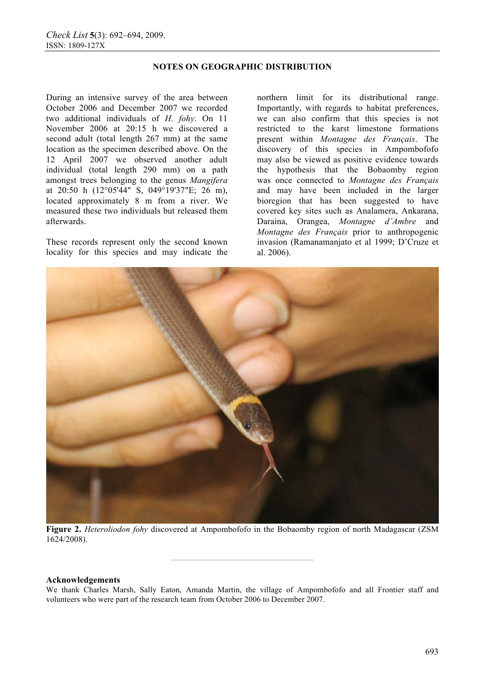## **NOTES ON GEOGRAPHIC DISTRIBUTION**

During an intensive survey of the area between October 2006 and December 2007 we recorded two additional individuals of *H. fohy*. On 11 November 2006 at 20:15 h we discovered a second adult (total length 267 mm) at the same location as the specimen described above. On the 12 April 2007 we observed another adult individual (total length 290 mm) on a path amongst trees belonging to the genus *Mangifera* at 20:50 h (12°05'44" S, 049°19'37"E; 26 m), located approximately 8 m from a river. We measured these two individuals but released them afterwards.

These records represent only the second known locality for this species and may indicate the

northern limit for its distributional range. Importantly, with regards to habitat preferences, we can also confirm that this species is not restricted to the karst limestone formations present within *Montagne des Français*. The discovery of this species in Ampombofofo may also be viewed as positive evidence towards the hypothesis that the Bobaomby region was once connected to *Montagne des Français* and may have been included in the larger bioregion that has been suggested to have covered key sites such as Analamera, Ankarana, Daraina, Orangea, *Montagne d'Ambre* and *Montagne des Français* prior to anthropogenic invasion (Ramanamanjato et al 1999; D'Cruze et al. 2006).



**Figure 2.** *Heteroliodon fohy* discovered at Ampombofofo in the Bobaomby region of north Madagascar (ZSM 1624/2008).

**————————————————** 

#### **Acknowledgements**

We thank Charles Marsh, Sally Eaton, Amanda Martin, the village of Ampombofofo and all Frontier staff and volunteers who were part of the research team from October 2006 to December 2007.